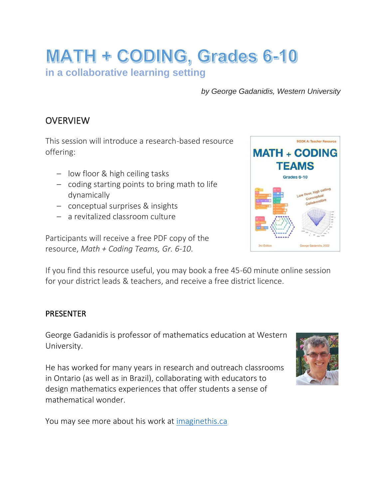# **MATH + CODING, Grades 6-10 in a collaborative learning setting**

*by George Gadanidis, Western University*

## **OVERVIEW**

This session will introduce a research-based resource offering:

- low floor & high ceiling tasks
- coding starting points to bring math to life dynamically
- conceptual surprises & insights
- a revitalized classroom culture

Participants will receive a free PDF copy of the resource, *Math + Coding Teams, Gr. 6-10*.

If you find this resource useful, you may book a free 45-60 minute online session for your district leads & teachers, and receive a free district licence.

#### PRESENTER

George Gadanidis is professor of mathematics education at Western University.

He has worked for many years in research and outreach classrooms in Ontario (as well as in Brazil), collaborating with educators to design mathematics experiences that offer students a sense of mathematical wonder.

You may see more about his work at [imaginethis.ca](https://imaginethis.ca/)



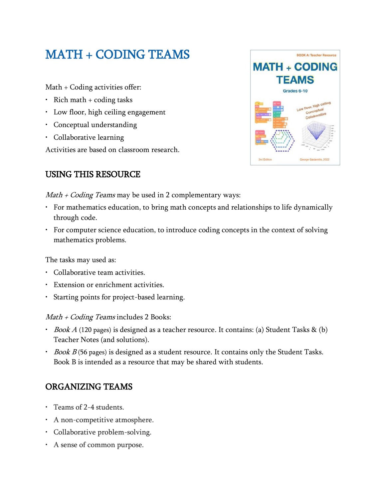## MATH + CODING TEAMS

Math + Coding activities offer:

- Rich math  $+$  coding tasks
- Low floor, high ceiling engagement
- Conceptual understanding
- Collaborative learning

Activities are based on classroom research.

### USING THIS RESOURCE



 $Math + Coding$  Teams may be used in 2 complementary ways:

- For mathematics education, to bring math concepts and relationships to life dynamically through code.
- For computer science education, to introduce coding concepts in the context of solving mathematics problems.

The tasks may used as:

- Collaborative team activities.
- Extension or enrichment activities.
- Starting points for project-based learning.

 $Math + Coding$  Teams includes 2 Books:

- *Book A* (120 pages) is designed as a teacher resource. It contains: (a) Student Tasks & (b) Teacher Notes (and solutions).
- $\cdot$  Book B (56 pages) is designed as a student resource. It contains only the Student Tasks. Book B is intended as a resource that may be shared with students.

## ORGANIZING TEAMS

- Teams of 2-4 students.
- A non-competitive atmosphere.
- Collaborative problem-solving.
- A sense of common purpose.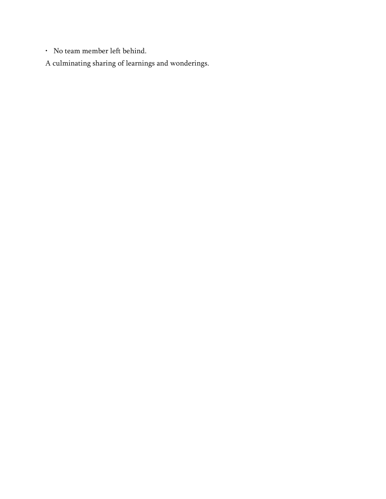• No team member left behind.

A culminating sharing of learnings and wonderings.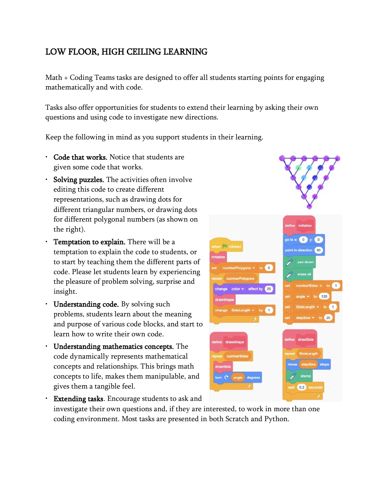## LOW FLOOR, HIGH CEILING LEARNING

Math + Coding Teams tasks are designed to offer all students starting points for engaging mathematically and with code.

Tasks also offer opportunities for students to extend their learning by asking their own questions and using code to investigate new directions.

Keep the following in mind as you support students in their learning.

- Code that works. Notice that students are given some code that works.
- Solving puzzles. The activities often involve editing this code to create different representations, such as drawing dots for different triangular numbers, or drawing dots for different polygonal numbers (as shown on the right).
- Temptation to explain. There will be a temptation to explain the code to students, or to start by teaching them the different parts of code. Please let students learn by experiencing the pleasure of problem solving, surprise and insight.
- Understanding code. By solving such problems, students learn about the meaning and purpose of various code blocks, and start to learn how to write their own code.
- Understanding mathematics concepts. The code dynamically represents mathematical concepts and relationships. This brings math concepts to life, makes them manipulable, and gives them a tangible feel.

 $0.2$ • Extending tasks. Encourage students to ask and investigate their own questions and, if they are interested, to work in more than one coding environment. Most tasks are presented in both Scratch and Python.

 $\frac{1}{2}$  to  $x = \begin{pmatrix} 0 \\ 0 \end{pmatrix}$  y: int in direction (90) ge color = effect by 120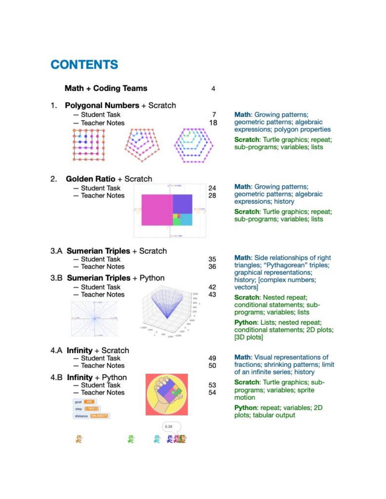## **CONTENTS**

### Math + Coding Teams

#### 1. Polygonal Numbers + Scratch

- Student Task  $\overline{7}$ 18 - Teacher Notes

 $2.$ Golden Ratio + Scratch

- Student Task
- Teacher Notes



 $\overline{4}$ 

35

36

42

43

49

50

53

54

3.A Sumerian Triples + Scratch

- Student Task
- Teacher Notes

#### 3.B Sumerian Triples + Python

- Student Task - Teacher Notes



4.A Infinity + Scratch - Student Task - Teacher Notes

4.B Infinity + Python - Student Task - Teacher Notes goal **SERVE** step **GENERAL** 

distance **Ending** 



geometric patterns; algebraic expressions; polygon properties Scratch: Turtle graphics; repeat; sub-programs; variables; lists

Math: Growing patterns;

Math: Growing patterns; geometric patterns; algebraic expressions; history

Scratch: Turtle graphics; repeat; sub-programs; variables; lists

- Math: Side relationships of right triangles; "Pythagorean" triples; graphical representations: history; [complex numbers; vectors]
	- **Scratch: Nested repeat;** conditional statements; subprograms; variables; lists

Python: Lists; nested repeat; conditional statements; 2D plots; [3D plots]

- Math: Visual representations of fractions; shrinking patterns; limit of an infinite series; history
	- Scratch: Turtle graphics; subprograms; variables; sprite motion

Python: repeat; variables; 2D plots; tabular output